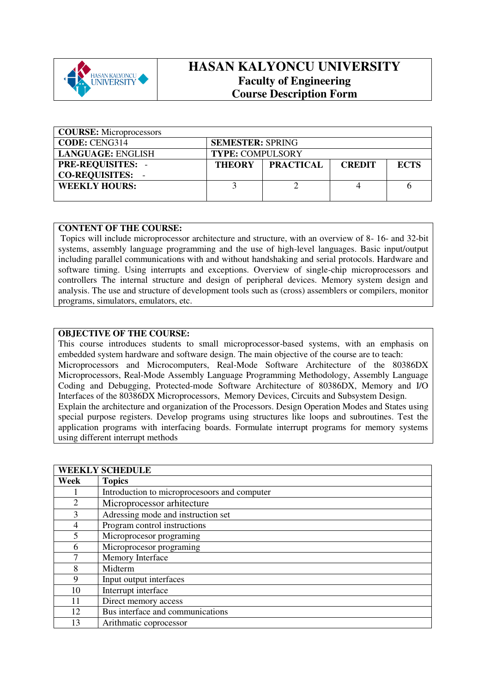

## **HASAN KALYONCU UNIVERSITY Faculty of Engineering Course Description Form**

| <b>COURSE:</b> Microprocessors |                                                                   |  |  |  |  |  |
|--------------------------------|-------------------------------------------------------------------|--|--|--|--|--|
| <b>CODE: CENG314</b>           | <b>SEMESTER: SPRING</b>                                           |  |  |  |  |  |
| <b>LANGUAGE: ENGLISH</b>       | <b>TYPE: COMPULSORY</b>                                           |  |  |  |  |  |
| <b>PRE-REQUISITES:</b>         | <b>PRACTICAL</b><br><b>ECTS</b><br><b>THEORY</b><br><b>CREDIT</b> |  |  |  |  |  |
| <b>CO-REQUISITES:</b>          |                                                                   |  |  |  |  |  |
| <b>WEEKLY HOURS:</b>           |                                                                   |  |  |  |  |  |
|                                |                                                                   |  |  |  |  |  |

## **CONTENT OF THE COURSE:**

 Topics will include microprocessor architecture and structure, with an overview of 8- 16- and 32-bit systems, assembly language programming and the use of high-level languages. Basic input/output including parallel communications with and without handshaking and serial protocols. Hardware and software timing. Using interrupts and exceptions. Overview of single-chip microprocessors and controllers The internal structure and design of peripheral devices. Memory system design and analysis. The use and structure of development tools such as (cross) assemblers or compilers, monitor programs, simulators, emulators, etc.

## **OBJECTIVE OF THE COURSE:**

This course introduces students to small microprocessor-based systems, with an emphasis on embedded system hardware and software design. The main objective of the course are to teach: Microprocessors and Microcomputers, Real-Mode Software Architecture of the 80386DX Microprocessors, Real-Mode Assembly Language Programming Methodology, Assembly Language Coding and Debugging, Protected-mode Software Architecture of 80386DX, Memory and I/O Interfaces of the 80386DX Microprocessors, Memory Devices, Circuits and Subsystem Design. Explain the architecture and organization of the Processors. Design Operation Modes and States using special purpose registers. Develop programs using structures like loops and subroutines. Test the application programs with interfacing boards. Formulate interrupt programs for memory systems using different interrupt methods

| <b>WEEKLY SCHEDULE</b> |                                              |  |
|------------------------|----------------------------------------------|--|
| Week                   | <b>Topics</b>                                |  |
|                        | Introduction to microprocesoors and computer |  |
| $\overline{2}$         | Microprocessor arhitecture                   |  |
| 3                      | Adressing mode and instruction set           |  |
| 4                      | Program control instructions                 |  |
| 5                      | Microprocesor programing                     |  |
| 6                      | Microprocesor programing                     |  |
| 7                      | Memory Interface                             |  |
| 8                      | Midterm                                      |  |
| 9                      | Input output interfaces                      |  |
| 10                     | Interrupt interface                          |  |
| 11                     | Direct memory access                         |  |
| 12                     | Bus interface and communications             |  |
| 13                     | Arithmatic coprocessor                       |  |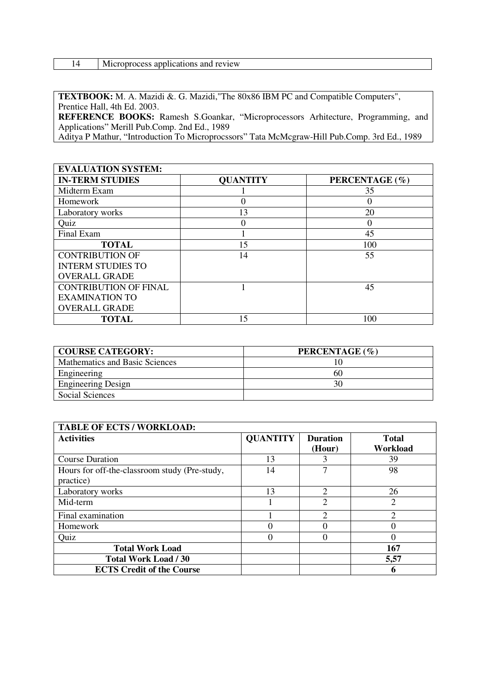| 14 | Microprocess applications and review |
|----|--------------------------------------|
|----|--------------------------------------|

**TEXTBOOK:** M. A. Mazidi &. G. Mazidi,"The 80x86 IBM PC and Compatible Computers", Prentice Hall, 4th Ed. 2003.

**REFERENCE BOOKS:** Ramesh S.Goankar, "Microprocessors Arhitecture, Programming, and Applications" Merill Pub.Comp. 2nd Ed., 1989

Aditya P Mathur, "Introduction To Microprocssors" Tata McMcgraw-Hill Pub.Comp. 3rd Ed., 1989

| <b>EVALUATION SYSTEM:</b>    |                 |                  |
|------------------------------|-----------------|------------------|
| <b>IN-TERM STUDIES</b>       | <b>QUANTITY</b> | PERCENTAGE (%)   |
| Midterm Exam                 |                 | 35               |
| Homework                     |                 | $\theta$         |
| Laboratory works             | 13              | 20               |
| Quiz                         |                 | $\left( \right)$ |
| Final Exam                   |                 | 45               |
| <b>TOTAL</b>                 | 15              | 100              |
| <b>CONTRIBUTION OF</b>       | 14              | 55               |
| <b>INTERM STUDIES TO</b>     |                 |                  |
| <b>OVERALL GRADE</b>         |                 |                  |
| <b>CONTRIBUTION OF FINAL</b> |                 | 45               |
| <b>EXAMINATION TO</b>        |                 |                  |
| <b>OVERALL GRADE</b>         |                 |                  |
| <b>TOTAL</b>                 | 15              | 100              |

| <b>COURSE CATEGORY:</b>        | PERCENTAGE (%) |
|--------------------------------|----------------|
| Mathematics and Basic Sciences |                |
| Engineering                    | 60             |
| <b>Engineering Design</b>      |                |
| Social Sciences                |                |

| <b>TABLE OF ECTS / WORKLOAD:</b>                           |                 |                             |                          |  |  |
|------------------------------------------------------------|-----------------|-----------------------------|--------------------------|--|--|
| <b>Activities</b>                                          | <b>QUANTITY</b> | <b>Duration</b><br>(Hour)   | <b>Total</b><br>Workload |  |  |
| <b>Course Duration</b>                                     | 13              |                             | 39                       |  |  |
| Hours for off-the-classroom study (Pre-study,<br>practice) | 14              |                             | 98                       |  |  |
| Laboratory works                                           | 13              | $\overline{2}$              | 26                       |  |  |
| Mid-term                                                   |                 | $\overline{2}$              | $\overline{2}$           |  |  |
| Final examination                                          |                 | $\mathcal{D}_{\mathcal{A}}$ | $\mathcal{D}$            |  |  |
| Homework                                                   |                 |                             |                          |  |  |
| Quiz                                                       | 0               |                             |                          |  |  |
| <b>Total Work Load</b>                                     |                 |                             | 167                      |  |  |
| <b>Total Work Load / 30</b>                                |                 |                             | 5,57                     |  |  |
| <b>ECTS Credit of the Course</b>                           |                 |                             | 6                        |  |  |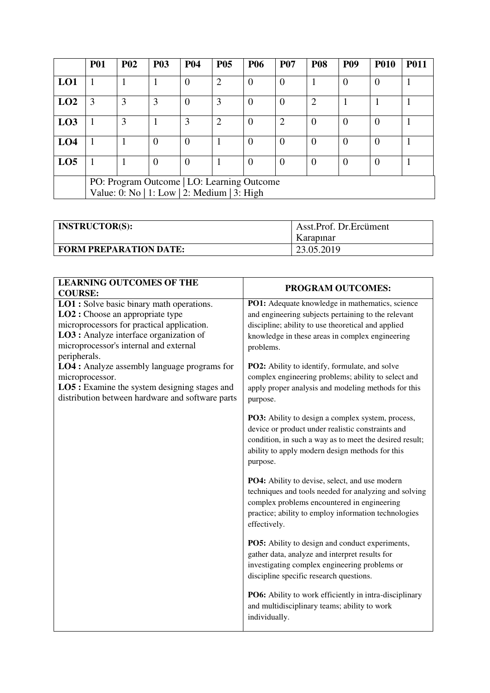|                                            | <b>P01</b>                                  | <b>P02</b> | <b>P03</b>     | <b>P04</b>       | <b>P05</b>     | <b>P06</b> | <b>P07</b> | <b>P08</b> | <b>P09</b> | <b>P010</b>    | <b>P011</b> |
|--------------------------------------------|---------------------------------------------|------------|----------------|------------------|----------------|------------|------------|------------|------------|----------------|-------------|
| LO1                                        |                                             |            |                | $\boldsymbol{0}$ | $\overline{2}$ | $\theta$   | $\Omega$   |            | $\Omega$   | $\overline{0}$ |             |
| LO2                                        | 3                                           | 3          | 3              | $\overline{0}$   | 3              | $\Omega$   |            | 2          |            |                |             |
| L <sub>03</sub>                            |                                             | 3          |                | 3                | $\overline{2}$ | $\theta$   | ◠          | $\theta$   | $\Omega$   | $\theta$       |             |
| LO <sub>4</sub>                            |                                             |            | $\overline{0}$ | $\overline{0}$   |                | $\Omega$   | $\Omega$   | 0          | $\Omega$   | $\Omega$       |             |
| LO <sub>5</sub>                            |                                             |            | $\overline{0}$ | $\boldsymbol{0}$ |                | $\Omega$   |            | $\theta$   | $\Omega$   | $\Omega$       |             |
| PO: Program Outcome   LO: Learning Outcome |                                             |            |                |                  |                |            |            |            |            |                |             |
|                                            | Value: 0: No   1: Low   2: Medium   3: High |            |                |                  |                |            |            |            |            |                |             |

| <b>INSTRUCTOR(S):</b>         | Asst.Prof. Dr.Ercüment<br>Karapınar |
|-------------------------------|-------------------------------------|
| <b>FORM PREPARATION DATE:</b> | 23.05.2019                          |

| <b>LEARNING OUTCOMES OF THE</b><br><b>COURSE:</b>                                                                                                                                                                       | PROGRAM OUTCOMES:                                                                                                                                                                                                                |
|-------------------------------------------------------------------------------------------------------------------------------------------------------------------------------------------------------------------------|----------------------------------------------------------------------------------------------------------------------------------------------------------------------------------------------------------------------------------|
| <b>LO1</b> : Solve basic binary math operations.<br>LO2 : Choose an appropriate type<br>microprocessors for practical application.<br>LO3 : Analyze interface organization of<br>microprocessor's internal and external | PO1: Adequate knowledge in mathematics, science<br>and engineering subjects pertaining to the relevant<br>discipline; ability to use theoretical and applied<br>knowledge in these areas in complex engineering<br>problems.     |
| peripherals.<br><b>LO4</b> : Analyze assembly language programs for<br>microprocessor.<br><b>LO5</b> : Examine the system designing stages and<br>distribution between hardware and software parts                      | PO2: Ability to identify, formulate, and solve<br>complex engineering problems; ability to select and<br>apply proper analysis and modeling methods for this<br>purpose.                                                         |
|                                                                                                                                                                                                                         | PO3: Ability to design a complex system, process,<br>device or product under realistic constraints and<br>condition, in such a way as to meet the desired result;<br>ability to apply modern design methods for this<br>purpose. |
|                                                                                                                                                                                                                         | PO4: Ability to devise, select, and use modern<br>techniques and tools needed for analyzing and solving<br>complex problems encountered in engineering<br>practice; ability to employ information technologies<br>effectively.   |
|                                                                                                                                                                                                                         | PO5: Ability to design and conduct experiments,<br>gather data, analyze and interpret results for<br>investigating complex engineering problems or<br>discipline specific research questions.                                    |
|                                                                                                                                                                                                                         | PO6: Ability to work efficiently in intra-disciplinary<br>and multidisciplinary teams; ability to work<br>individually.                                                                                                          |